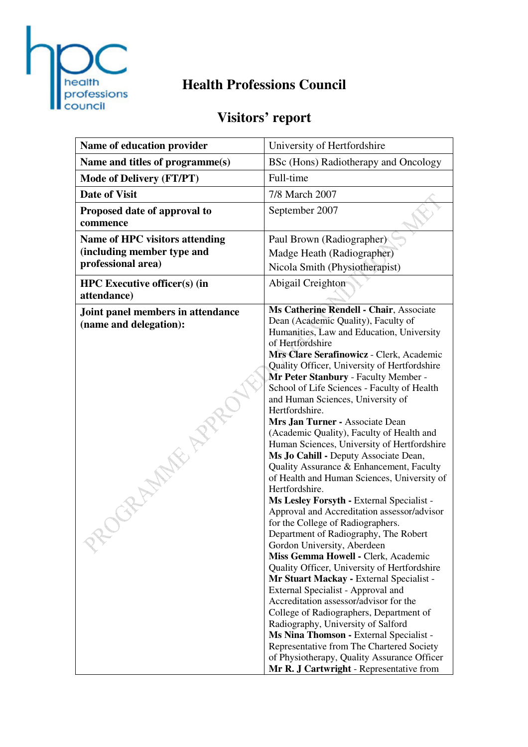

## **Health Professions Council**

# **Visitors' report**

| Name of education provider                                                                | University of Hertfordshire                                                                                                                                                                                                                                                                                                                                                                                                                                                                                                                                                                                                                                                                                                                                                                                                                                                                                                                                                                                                                                                                                                                                                                                                                                                                                                                                                    |  |
|-------------------------------------------------------------------------------------------|--------------------------------------------------------------------------------------------------------------------------------------------------------------------------------------------------------------------------------------------------------------------------------------------------------------------------------------------------------------------------------------------------------------------------------------------------------------------------------------------------------------------------------------------------------------------------------------------------------------------------------------------------------------------------------------------------------------------------------------------------------------------------------------------------------------------------------------------------------------------------------------------------------------------------------------------------------------------------------------------------------------------------------------------------------------------------------------------------------------------------------------------------------------------------------------------------------------------------------------------------------------------------------------------------------------------------------------------------------------------------------|--|
| Name and titles of programme(s)                                                           | BSc (Hons) Radiotherapy and Oncology                                                                                                                                                                                                                                                                                                                                                                                                                                                                                                                                                                                                                                                                                                                                                                                                                                                                                                                                                                                                                                                                                                                                                                                                                                                                                                                                           |  |
| <b>Mode of Delivery (FT/PT)</b>                                                           | Full-time                                                                                                                                                                                                                                                                                                                                                                                                                                                                                                                                                                                                                                                                                                                                                                                                                                                                                                                                                                                                                                                                                                                                                                                                                                                                                                                                                                      |  |
| <b>Date of Visit</b>                                                                      | 7/8 March 2007                                                                                                                                                                                                                                                                                                                                                                                                                                                                                                                                                                                                                                                                                                                                                                                                                                                                                                                                                                                                                                                                                                                                                                                                                                                                                                                                                                 |  |
| Proposed date of approval to<br>commence                                                  | September 2007                                                                                                                                                                                                                                                                                                                                                                                                                                                                                                                                                                                                                                                                                                                                                                                                                                                                                                                                                                                                                                                                                                                                                                                                                                                                                                                                                                 |  |
| <b>Name of HPC visitors attending</b><br>(including member type and<br>professional area) | Paul Brown (Radiographer)<br>Madge Heath (Radiographer)<br>Nicola Smith (Physiotherapist)                                                                                                                                                                                                                                                                                                                                                                                                                                                                                                                                                                                                                                                                                                                                                                                                                                                                                                                                                                                                                                                                                                                                                                                                                                                                                      |  |
| <b>HPC</b> Executive officer(s) (in<br>attendance)                                        | Abigail Creighton                                                                                                                                                                                                                                                                                                                                                                                                                                                                                                                                                                                                                                                                                                                                                                                                                                                                                                                                                                                                                                                                                                                                                                                                                                                                                                                                                              |  |
| Joint panel members in attendance<br>(name and delegation):                               | Ms Catherine Rendell - Chair, Associate<br>Dean (Academic Quality), Faculty of<br>Humanities, Law and Education, University<br>of Hertfordshire<br>Mrs Clare Serafinowicz - Clerk, Academic<br>Quality Officer, University of Hertfordshire<br>Mr Peter Stanbury - Faculty Member -<br>School of Life Sciences - Faculty of Health<br>and Human Sciences, University of<br>Hertfordshire.<br>Mrs Jan Turner - Associate Dean<br>(Academic Quality), Faculty of Health and<br>Human Sciences, University of Hertfordshire<br>Ms Jo Cahill - Deputy Associate Dean,<br>Quality Assurance & Enhancement, Faculty<br>of Health and Human Sciences, University of<br>Hertfordshire.<br>Ms Lesley Forsyth - External Specialist -<br>Approval and Accreditation assessor/advisor<br>for the College of Radiographers.<br>Department of Radiography, The Robert<br>Gordon University, Aberdeen<br>Miss Gemma Howell - Clerk, Academic<br>Quality Officer, University of Hertfordshire<br>Mr Stuart Mackay - External Specialist -<br>External Specialist - Approval and<br>Accreditation assessor/advisor for the<br>College of Radiographers, Department of<br>Radiography, University of Salford<br>Ms Nina Thomson - External Specialist -<br>Representative from The Chartered Society<br>of Physiotherapy, Quality Assurance Officer<br>Mr R. J Cartwright - Representative from |  |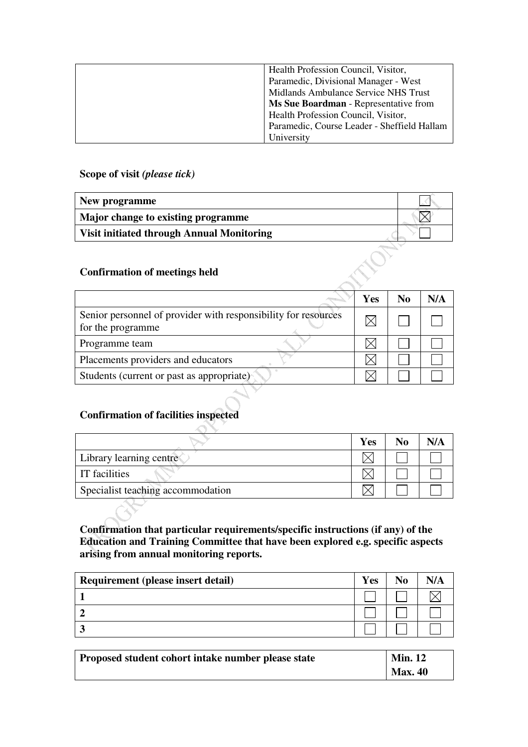| Health Profession Council, Visitor,         |
|---------------------------------------------|
| Paramedic, Divisional Manager - West        |
| Midlands Ambulance Service NHS Trust        |
| Ms Sue Boardman - Representative from       |
| Health Profession Council, Visitor,         |
| Paramedic, Course Leader - Sheffield Hallam |
| University                                  |

#### **Scope of visit** *(please tick)*

| New programme                                    |  |
|--------------------------------------------------|--|
| Major change to existing programme               |  |
| <b>Visit initiated through Annual Monitoring</b> |  |
|                                                  |  |
| <b>Confirmation of meetings held</b>             |  |

#### **Confirmation of meetings held**

|                                                                                     | Yes | N0 | N/A |
|-------------------------------------------------------------------------------------|-----|----|-----|
| Senior personnel of provider with responsibility for resources<br>for the programme |     |    |     |
| Programme team                                                                      |     |    |     |
| Placements providers and educators                                                  |     |    |     |
| Students (current or past as appropriate)                                           |     |    |     |

#### **Confirmation of facilities inspected**

 $\triangle$ 

|                                   | Yes | N <sub>0</sub> | N/A |
|-----------------------------------|-----|----------------|-----|
| Library learning centre           |     |                |     |
| <b>IT</b> facilities              |     |                |     |
| Specialist teaching accommodation |     |                |     |

**Confirmation that particular requirements/specific instructions (if any) of the Education and Training Committee that have been explored e.g. specific aspects arising from annual monitoring reports.** 

| Requirement (please insert detail) | <b>Yes</b> |  |
|------------------------------------|------------|--|
|                                    |            |  |
|                                    |            |  |
|                                    |            |  |

| Proposed student cohort intake number please state | <b>Min. 12</b> |
|----------------------------------------------------|----------------|
|                                                    | <b>Max. 40</b> |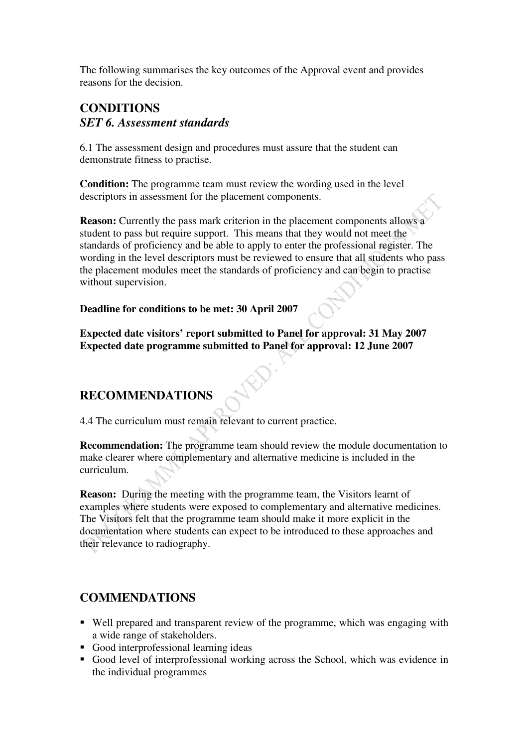The following summarises the key outcomes of the Approval event and provides reasons for the decision.

## **CONDITIONS**  *SET 6. Assessment standards*

6.1 The assessment design and procedures must assure that the student can demonstrate fitness to practise.

**Condition:** The programme team must review the wording used in the level descriptors in assessment for the placement components.

**Reason:** Currently the pass mark criterion in the placement components allows a student to pass but require support. This means that they would not meet the standards of proficiency and be able to apply to enter the professional register. The wording in the level descriptors must be reviewed to ensure that all students who pass the placement modules meet the standards of proficiency and can begin to practise without supervision.

**Deadline for conditions to be met: 30 April 2007** 

**Expected date visitors' report submitted to Panel for approval: 31 May 2007 Expected date programme submitted to Panel for approval: 12 June 2007** 

## **RECOMMENDATIONS**

4.4 The curriculum must remain relevant to current practice.

**Recommendation:** The programme team should review the module documentation to make clearer where complementary and alternative medicine is included in the curriculum.

**Reason:** During the meeting with the programme team, the Visitors learnt of examples where students were exposed to complementary and alternative medicines. The Visitors felt that the programme team should make it more explicit in the documentation where students can expect to be introduced to these approaches and their relevance to radiography.

### **COMMENDATIONS**

- Well prepared and transparent review of the programme, which was engaging with a wide range of stakeholders.
- Good interprofessional learning ideas
- Good level of interprofessional working across the School, which was evidence in the individual programmes